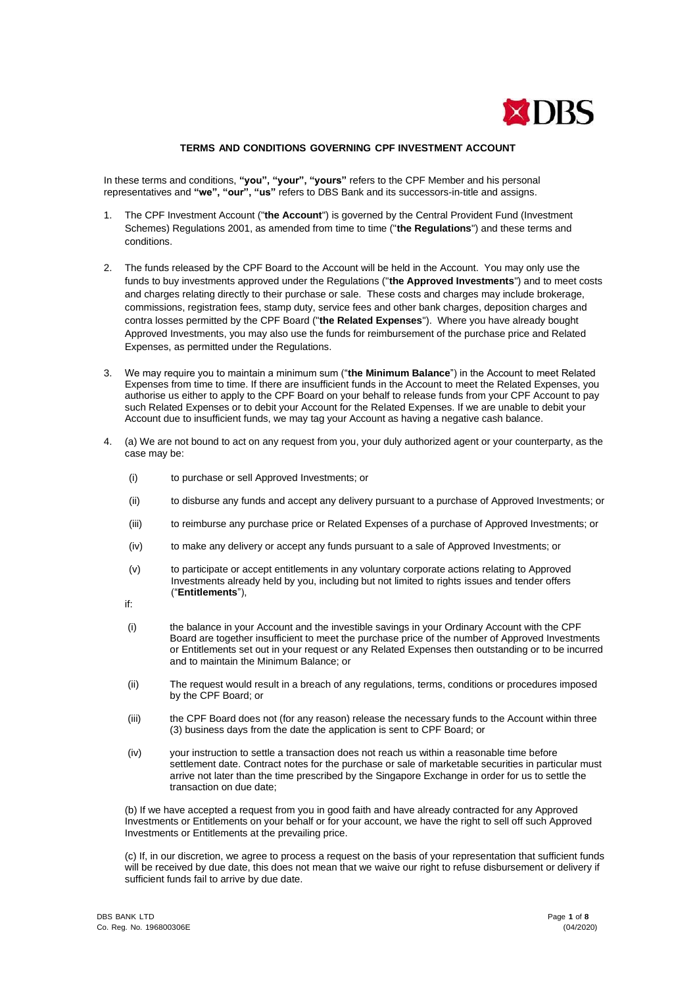

## **TERMS AND CONDITIONS GOVERNING CPF INVESTMENT ACCOUNT**

In these terms and conditions, **"you", "your", "yours"** refers to the CPF Member and his personal representatives and **"we", "our", "us"** refers to DBS Bank and its successors-in-title and assigns.

- 1. The CPF Investment Account ("**the Account**") is governed by the Central Provident Fund (Investment Schemes) Regulations 2001, as amended from time to time ("**the Regulations**") and these terms and conditions.
- 2. The funds released by the CPF Board to the Account will be held in the Account. You may only use the funds to buy investments approved under the Regulations ("**the Approved Investments**") and to meet costs and charges relating directly to their purchase or sale. These costs and charges may include brokerage, commissions, registration fees, stamp duty, service fees and other bank charges, deposition charges and contra losses permitted by the CPF Board ("**the Related Expenses**"). Where you have already bought Approved Investments, you may also use the funds for reimbursement of the purchase price and Related Expenses, as permitted under the Regulations.
- 3. We may require you to maintain a minimum sum ("**the Minimum Balance**") in the Account to meet Related Expenses from time to time. If there are insufficient funds in the Account to meet the Related Expenses, you authorise us either to apply to the CPF Board on your behalf to release funds from your CPF Account to pay such Related Expenses or to debit your Account for the Related Expenses. If we are unable to debit your Account due to insufficient funds, we may tag your Account as having a negative cash balance.
- 4. (a) We are not bound to act on any request from you, your duly authorized agent or your counterparty, as the case may be:
	- (i) to purchase or sell Approved Investments; or
	- (ii) to disburse any funds and accept any delivery pursuant to a purchase of Approved Investments; or
	- (iii) to reimburse any purchase price or Related Expenses of a purchase of Approved Investments; or
	- (iv) to make any delivery or accept any funds pursuant to a sale of Approved Investments; or
	- (v) to participate or accept entitlements in any voluntary corporate actions relating to Approved Investments already held by you, including but not limited to rights issues and tender offers ("**Entitlements**"),
	- if:
	- (i) the balance in your Account and the investible savings in your Ordinary Account with the CPF Board are together insufficient to meet the purchase price of the number of Approved Investments or Entitlements set out in your request or any Related Expenses then outstanding or to be incurred and to maintain the Minimum Balance; or
	- (ii) The request would result in a breach of any regulations, terms, conditions or procedures imposed by the CPF Board; or
	- (iii) the CPF Board does not (for any reason) release the necessary funds to the Account within three (3) business days from the date the application is sent to CPF Board; or
	- (iv) your instruction to settle a transaction does not reach us within a reasonable time before settlement date. Contract notes for the purchase or sale of marketable securities in particular must arrive not later than the time prescribed by the Singapore Exchange in order for us to settle the transaction on due date;

(b) If we have accepted a request from you in good faith and have already contracted for any Approved Investments or Entitlements on your behalf or for your account, we have the right to sell off such Approved Investments or Entitlements at the prevailing price.

(c) If, in our discretion, we agree to process a request on the basis of your representation that sufficient funds will be received by due date, this does not mean that we waive our right to refuse disbursement or delivery if sufficient funds fail to arrive by due date.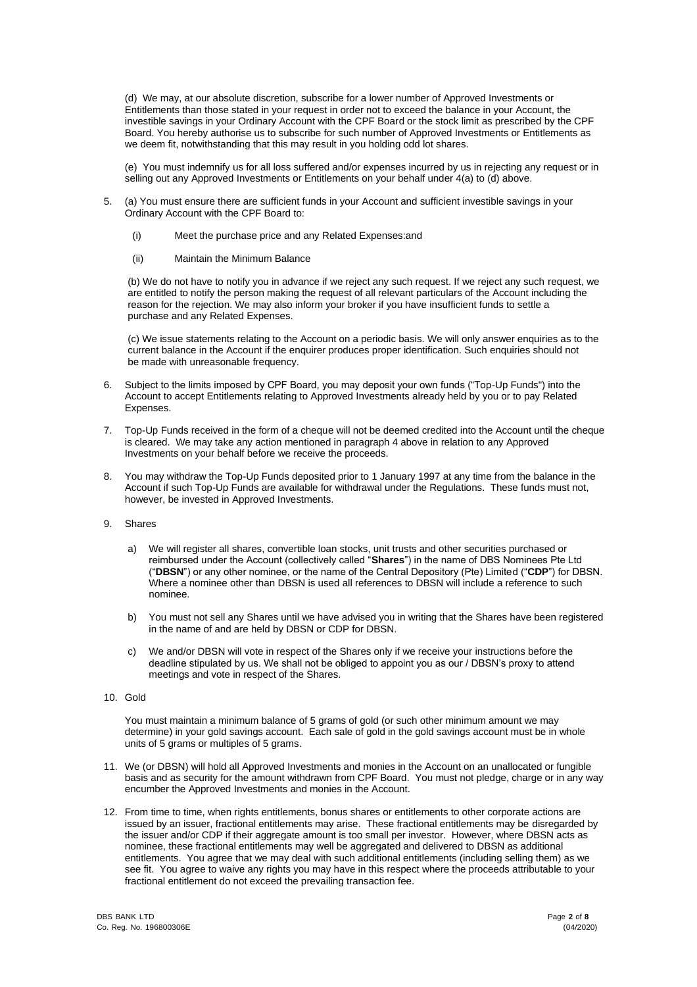(d) We may, at our absolute discretion, subscribe for a lower number of Approved Investments or Entitlements than those stated in your request in order not to exceed the balance in your Account, the investible savings in your Ordinary Account with the CPF Board or the stock limit as prescribed by the CPF Board. You hereby authorise us to subscribe for such number of Approved Investments or Entitlements as we deem fit, notwithstanding that this may result in you holding odd lot shares.

(e) You must indemnify us for all loss suffered and/or expenses incurred by us in rejecting any request or in selling out any Approved Investments or Entitlements on your behalf under 4(a) to (d) above.

- 5. (a) You must ensure there are sufficient funds in your Account and sufficient investible savings in your Ordinary Account with the CPF Board to:
	- (i) Meet the purchase price and any Related Expenses:and
	- (ii) Maintain the Minimum Balance

(b) We do not have to notify you in advance if we reject any such request. If we reject any such request, we are entitled to notify the person making the request of all relevant particulars of the Account including the reason for the rejection. We may also inform your broker if you have insufficient funds to settle a purchase and any Related Expenses.

(c) We issue statements relating to the Account on a periodic basis. We will only answer enquiries as to the current balance in the Account if the enquirer produces proper identification. Such enquiries should not be made with unreasonable frequency.

- 6. Subject to the limits imposed by CPF Board, you may deposit your own funds ("Top-Up Funds") into the Account to accept Entitlements relating to Approved Investments already held by you or to pay Related Expenses.
- 7. Top-Up Funds received in the form of a cheque will not be deemed credited into the Account until the cheque is cleared. We may take any action mentioned in paragraph 4 above in relation to any Approved Investments on your behalf before we receive the proceeds.
- 8. You may withdraw the Top-Up Funds deposited prior to 1 January 1997 at any time from the balance in the Account if such Top-Up Funds are available for withdrawal under the Regulations. These funds must not, however, be invested in Approved Investments.
- 9. Shares
	- a) We will register all shares, convertible loan stocks, unit trusts and other securities purchased or reimbursed under the Account (collectively called "**Shares**") in the name of DBS Nominees Pte Ltd ("**DBSN**") or any other nominee, or the name of the Central Depository (Pte) Limited ("**CDP**") for DBSN. Where a nominee other than DBSN is used all references to DBSN will include a reference to such nominee.
	- b) You must not sell any Shares until we have advised you in writing that the Shares have been registered in the name of and are held by DBSN or CDP for DBSN.
	- c) We and/or DBSN will vote in respect of the Shares only if we receive your instructions before the deadline stipulated by us. We shall not be obliged to appoint you as our / DBSN's proxy to attend meetings and vote in respect of the Shares.
- 10. Gold

You must maintain a minimum balance of 5 grams of gold (or such other minimum amount we may determine) in your gold savings account. Each sale of gold in the gold savings account must be in whole units of 5 grams or multiples of 5 grams.

- 11. We (or DBSN) will hold all Approved Investments and monies in the Account on an unallocated or fungible basis and as security for the amount withdrawn from CPF Board. You must not pledge, charge or in any way encumber the Approved Investments and monies in the Account.
- 12. From time to time, when rights entitlements, bonus shares or entitlements to other corporate actions are issued by an issuer, fractional entitlements may arise. These fractional entitlements may be disregarded by the issuer and/or CDP if their aggregate amount is too small per investor. However, where DBSN acts as nominee, these fractional entitlements may well be aggregated and delivered to DBSN as additional entitlements. You agree that we may deal with such additional entitlements (including selling them) as we see fit. You agree to waive any rights you may have in this respect where the proceeds attributable to your fractional entitlement do not exceed the prevailing transaction fee.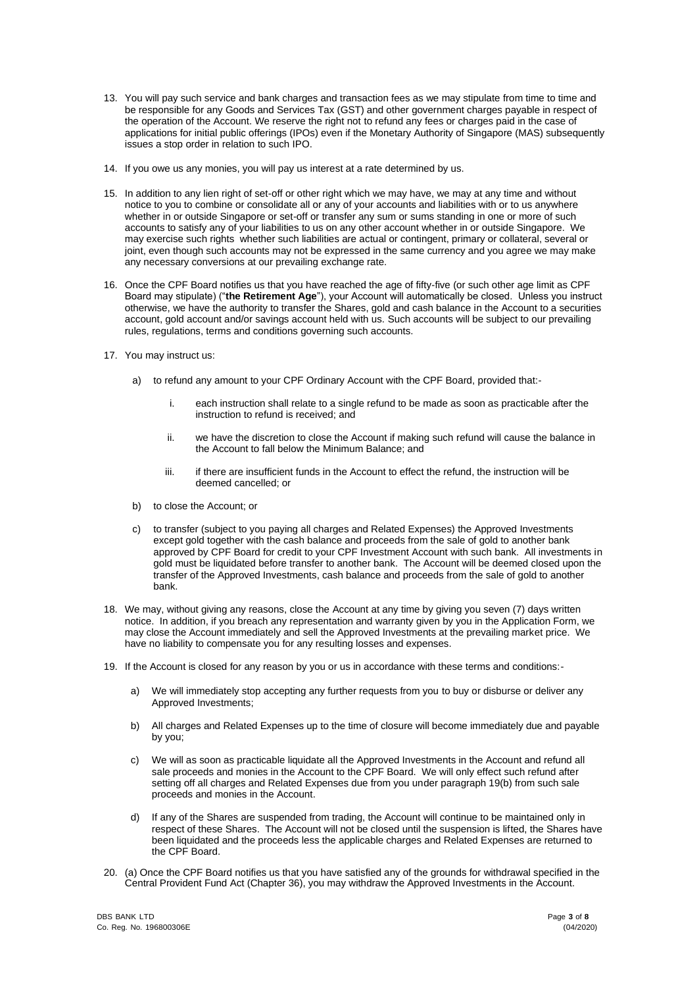- 13. You will pay such service and bank charges and transaction fees as we may stipulate from time to time and be responsible for any Goods and Services Tax (GST) and other government charges payable in respect of the operation of the Account. We reserve the right not to refund any fees or charges paid in the case of applications for initial public offerings (IPOs) even if the Monetary Authority of Singapore (MAS) subsequently issues a stop order in relation to such IPO.
- 14. If you owe us any monies, you will pay us interest at a rate determined by us.
- 15. In addition to any lien right of set-off or other right which we may have, we may at any time and without notice to you to combine or consolidate all or any of your accounts and liabilities with or to us anywhere whether in or outside Singapore or set-off or transfer any sum or sums standing in one or more of such accounts to satisfy any of your liabilities to us on any other account whether in or outside Singapore. We may exercise such rights whether such liabilities are actual or contingent, primary or collateral, several or joint, even though such accounts may not be expressed in the same currency and you agree we may make any necessary conversions at our prevailing exchange rate.
- 16. Once the CPF Board notifies us that you have reached the age of fifty-five (or such other age limit as CPF Board may stipulate) ("**the Retirement Age**"), your Account will automatically be closed. Unless you instruct otherwise, we have the authority to transfer the Shares, gold and cash balance in the Account to a securities account, gold account and/or savings account held with us. Such accounts will be subject to our prevailing rules, regulations, terms and conditions governing such accounts.
- 17. You may instruct us:
	- a) to refund any amount to your CPF Ordinary Account with the CPF Board, provided that:
		- i. each instruction shall relate to a single refund to be made as soon as practicable after the instruction to refund is received; and
		- ii. we have the discretion to close the Account if making such refund will cause the balance in the Account to fall below the Minimum Balance; and
		- iii. if there are insufficient funds in the Account to effect the refund, the instruction will be deemed cancelled; or
	- b) to close the Account; or
	- c) to transfer (subject to you paying all charges and Related Expenses) the Approved Investments except gold together with the cash balance and proceeds from the sale of gold to another bank approved by CPF Board for credit to your CPF Investment Account with such bank. All investments in gold must be liquidated before transfer to another bank. The Account will be deemed closed upon the transfer of the Approved Investments, cash balance and proceeds from the sale of gold to another bank.
- 18. We may, without giving any reasons, close the Account at any time by giving you seven (7) days written notice. In addition, if you breach any representation and warranty given by you in the Application Form, we may close the Account immediately and sell the Approved Investments at the prevailing market price. We have no liability to compensate you for any resulting losses and expenses.
- 19. If the Account is closed for any reason by you or us in accordance with these terms and conditions:
	- a) We will immediately stop accepting any further requests from you to buy or disburse or deliver any Approved Investments;
	- b) All charges and Related Expenses up to the time of closure will become immediately due and payable by you;
	- c) We will as soon as practicable liquidate all the Approved Investments in the Account and refund all sale proceeds and monies in the Account to the CPF Board. We will only effect such refund after setting off all charges and Related Expenses due from you under paragraph 19(b) from such sale proceeds and monies in the Account.
	- d) If any of the Shares are suspended from trading, the Account will continue to be maintained only in respect of these Shares. The Account will not be closed until the suspension is lifted, the Shares have been liquidated and the proceeds less the applicable charges and Related Expenses are returned to the CPF Board.
- 20. (a) Once the CPF Board notifies us that you have satisfied any of the grounds for withdrawal specified in the Central Provident Fund Act (Chapter 36), you may withdraw the Approved Investments in the Account.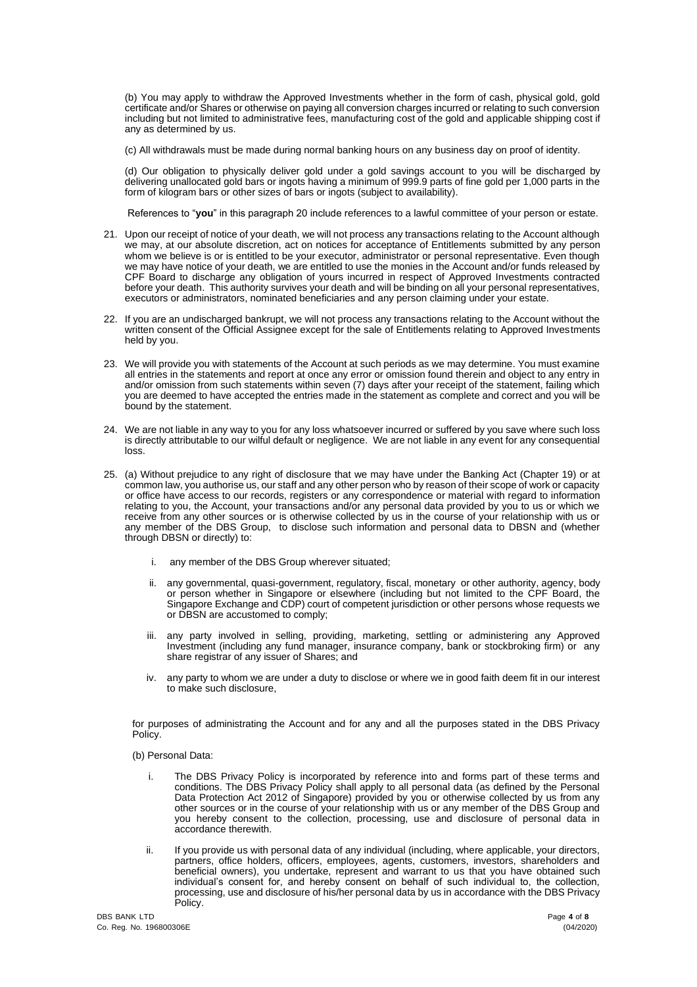(b) You may apply to withdraw the Approved Investments whether in the form of cash, physical gold, gold certificate and/or Shares or otherwise on paying all conversion charges incurred or relating to such conversion including but not limited to administrative fees, manufacturing cost of the gold and applicable shipping cost if any as determined by us.

(c) All withdrawals must be made during normal banking hours on any business day on proof of identity.

(d) Our obligation to physically deliver gold under a gold savings account to you will be discharged by delivering unallocated gold bars or ingots having a minimum of 999.9 parts of fine gold per 1,000 parts in the form of kilogram bars or other sizes of bars or ingots (subject to availability).

References to "**you**" in this paragraph 20 include references to a lawful committee of your person or estate.

- 21. Upon our receipt of notice of your death, we will not process any transactions relating to the Account although we may, at our absolute discretion, act on notices for acceptance of Entitlements submitted by any person whom we believe is or is entitled to be your executor, administrator or personal representative. Even though we may have notice of your death, we are entitled to use the monies in the Account and/or funds released by CPF Board to discharge any obligation of yours incurred in respect of Approved Investments contracted before your death. This authority survives your death and will be binding on all your personal representatives, executors or administrators, nominated beneficiaries and any person claiming under your estate.
- 22. If you are an undischarged bankrupt, we will not process any transactions relating to the Account without the written consent of the Official Assignee except for the sale of Entitlements relating to Approved Investments held by you.
- 23. We will provide you with statements of the Account at such periods as we may determine. You must examine all entries in the statements and report at once any error or omission found therein and object to any entry in and/or omission from such statements within seven (7) days after your receipt of the statement, failing which you are deemed to have accepted the entries made in the statement as complete and correct and you will be bound by the statement.
- 24. We are not liable in any way to you for any loss whatsoever incurred or suffered by you save where such loss is directly attributable to our wilful default or negligence. We are not liable in any event for any consequential loss.
- 25. (a) Without prejudice to any right of disclosure that we may have under the Banking Act (Chapter 19) or at common law, you authorise us, our staff and any other person who by reason of their scope of work or capacity or office have access to our records, registers or any correspondence or material with regard to information relating to you, the Account, your transactions and/or any personal data provided by you to us or which we receive from any other sources or is otherwise collected by us in the course of your relationship with us or any member of the DBS Group, to disclose such information and personal data to DBSN and (whether through DBSN or directly) to:
	- i. any member of the DBS Group wherever situated;
	- ii. any governmental, quasi-government, regulatory, fiscal, monetary or other authority, agency, body or person whether in Singapore or elsewhere (including but not limited to the CPF Board, the Singapore Exchange and CDP) court of competent jurisdiction or other persons whose requests we or DBSN are accustomed to comply;
	- iii. any party involved in selling, providing, marketing, settling or administering any Approved Investment (including any fund manager, insurance company, bank or stockbroking firm) or any share registrar of any issuer of Shares; and
	- iv. any party to whom we are under a duty to disclose or where we in good faith deem fit in our interest to make such disclosure,

for purposes of administrating the Account and for any and all the purposes stated in the DBS Privacy Policy.

(b) Personal Data:

- i. The DBS Privacy Policy is incorporated by reference into and forms part of these terms and conditions. The DBS Privacy Policy shall apply to all personal data (as defined by the Personal Data Protection Act 2012 of Singapore) provided by you or otherwise collected by us from any other sources or in the course of your relationship with us or any member of the DBS Group and you hereby consent to the collection, processing, use and disclosure of personal data in accordance therewith.
- ii. If you provide us with personal data of any individual (including, where applicable, your directors, partners, office holders, officers, employees, agents, customers, investors, shareholders and beneficial owners), you undertake, represent and warrant to us that you have obtained such individual's consent for, and hereby consent on behalf of such individual to, the collection, processing, use and disclosure of his/her personal data by us in accordance with the DBS Privacy Policy.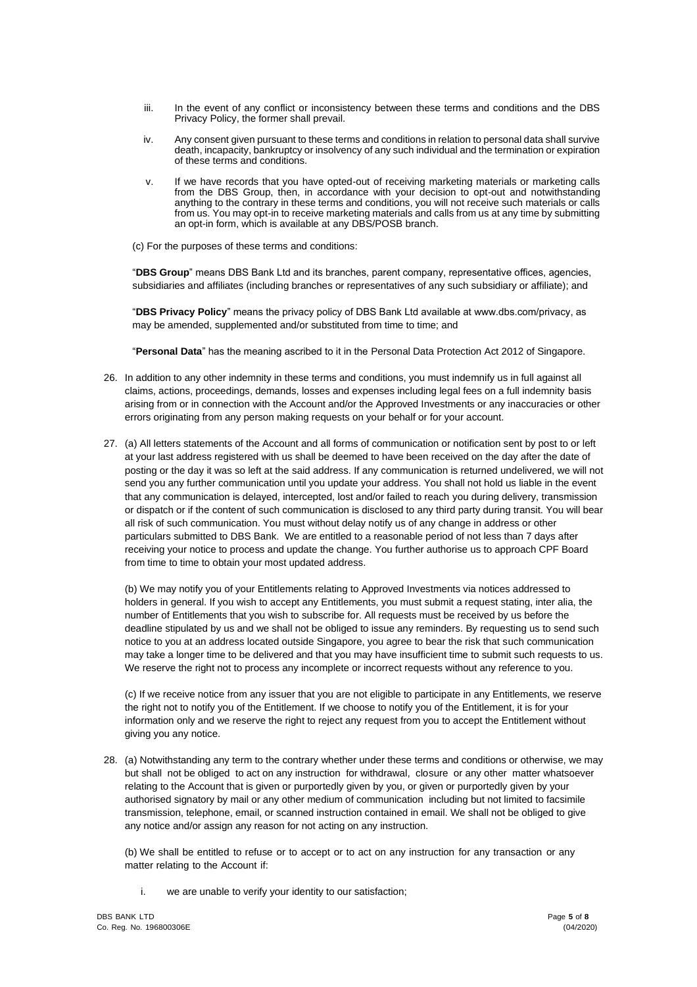- iii. In the event of any conflict or inconsistency between these terms and conditions and the DBS Privacy Policy, the former shall prevail.
- iv. Any consent given pursuant to these terms and conditions in relation to personal data shall survive death, incapacity, bankruptcy or insolvency of any such individual and the termination or expiration of these terms and conditions.
- v. If we have records that you have opted-out of receiving marketing materials or marketing calls from the DBS Group, then, in accordance with your decision to opt-out and notwithstanding anything to the contrary in these terms and conditions, you will not receive such materials or calls from us. You may opt-in to receive marketing materials and calls from us at any time by submitting an opt-in form, which is available at any DBS/POSB branch.
- (c) For the purposes of these terms and conditions:

"**DBS Group**" means DBS Bank Ltd and its branches, parent company, representative offices, agencies, subsidiaries and affiliates (including branches or representatives of any such subsidiary or affiliate); and

"**DBS Privacy Policy**" means the privacy policy of DBS Bank Ltd available at www.dbs.com/privacy, as may be amended, supplemented and/or substituted from time to time; and

"**Personal Data**" has the meaning ascribed to it in the Personal Data Protection Act 2012 of Singapore.

- 26. In addition to any other indemnity in these terms and conditions, you must indemnify us in full against all claims, actions, proceedings, demands, losses and expenses including legal fees on a full indemnity basis arising from or in connection with the Account and/or the Approved Investments or any inaccuracies or other errors originating from any person making requests on your behalf or for your account.
- 27. (a) All letters statements of the Account and all forms of communication or notification sent by post to or left at your last address registered with us shall be deemed to have been received on the day after the date of posting or the day it was so left at the said address. If any communication is returned undelivered, we will not send you any further communication until you update your address. You shall not hold us liable in the event that any communication is delayed, intercepted, lost and/or failed to reach you during delivery, transmission or dispatch or if the content of such communication is disclosed to any third party during transit. You will bear all risk of such communication. You must without delay notify us of any change in address or other particulars submitted to DBS Bank. We are entitled to a reasonable period of not less than 7 days after receiving your notice to process and update the change. You further authorise us to approach CPF Board from time to time to obtain your most updated address.

(b) We may notify you of your Entitlements relating to Approved Investments via notices addressed to holders in general. If you wish to accept any Entitlements, you must submit a request stating, inter alia, the number of Entitlements that you wish to subscribe for. All requests must be received by us before the deadline stipulated by us and we shall not be obliged to issue any reminders. By requesting us to send such notice to you at an address located outside Singapore, you agree to bear the risk that such communication may take a longer time to be delivered and that you may have insufficient time to submit such requests to us. We reserve the right not to process any incomplete or incorrect requests without any reference to you.

(c) If we receive notice from any issuer that you are not eligible to participate in any Entitlements, we reserve the right not to notify you of the Entitlement. If we choose to notify you of the Entitlement, it is for your information only and we reserve the right to reject any request from you to accept the Entitlement without giving you any notice.

28. (a) Notwithstanding any term to the contrary whether under these terms and conditions or otherwise, we may but shall not be obliged to act on any instruction for withdrawal, closure or any other matter whatsoever relating to the Account that is given or purportedly given by you, or given or purportedly given by your authorised signatory by mail or any other medium of communication including but not limited to facsimile transmission, telephone, email, or scanned instruction contained in email. We shall not be obliged to give any notice and/or assign any reason for not acting on any instruction.

(b) We shall be entitled to refuse or to accept or to act on any instruction for any transaction or any matter relating to the Account if:

i. we are unable to verify your identity to our satisfaction;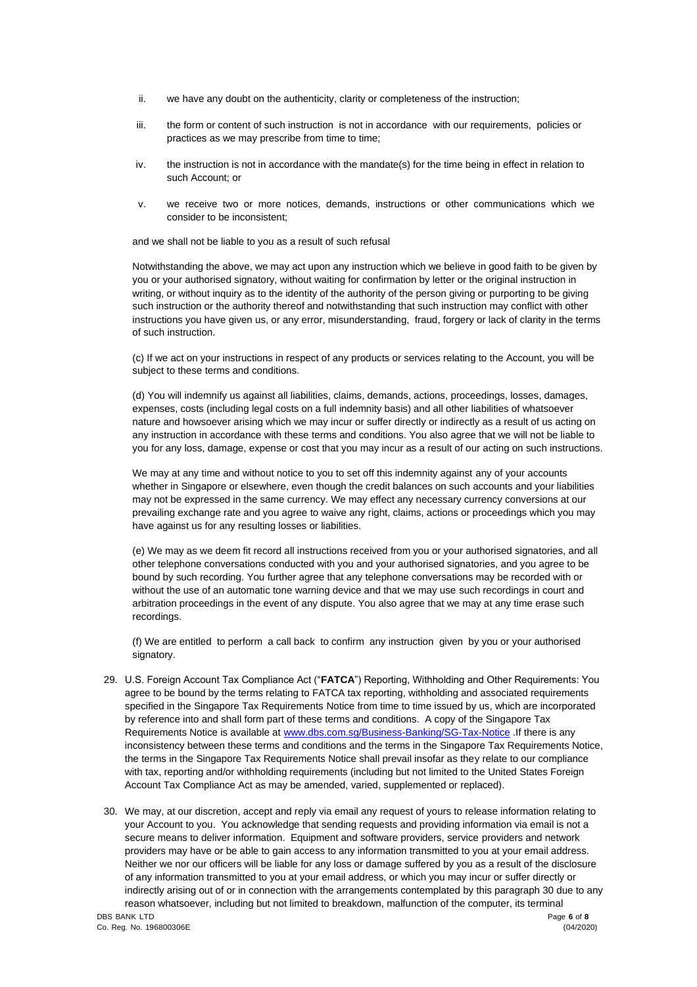- ii. we have any doubt on the authenticity, clarity or completeness of the instruction;
- iii. the form or content of such instruction is not in accordance with our requirements, policies or practices as we may prescribe from time to time;
- iv. the instruction is not in accordance with the mandate(s) for the time being in effect in relation to such Account; or
- v. we receive two or more notices, demands, instructions or other communications which we consider to be inconsistent;

and we shall not be liable to you as a result of such refusal

Notwithstanding the above, we may act upon any instruction which we believe in good faith to be given by you or your authorised signatory, without waiting for confirmation by letter or the original instruction in writing, or without inquiry as to the identity of the authority of the person giving or purporting to be giving such instruction or the authority thereof and notwithstanding that such instruction may conflict with other instructions you have given us, or any error, misunderstanding, fraud, forgery or lack of clarity in the terms of such instruction.

(c) If we act on your instructions in respect of any products or services relating to the Account, you will be subject to these terms and conditions.

(d) You will indemnify us against all liabilities, claims, demands, actions, proceedings, losses, damages, expenses, costs (including legal costs on a full indemnity basis) and all other liabilities of whatsoever nature and howsoever arising which we may incur or suffer directly or indirectly as a result of us acting on any instruction in accordance with these terms and conditions. You also agree that we will not be liable to you for any loss, damage, expense or cost that you may incur as a result of our acting on such instructions.

We may at any time and without notice to you to set off this indemnity against any of your accounts whether in Singapore or elsewhere, even though the credit balances on such accounts and your liabilities may not be expressed in the same currency. We may effect any necessary currency conversions at our prevailing exchange rate and you agree to waive any right, claims, actions or proceedings which you may have against us for any resulting losses or liabilities.

(e) We may as we deem fit record all instructions received from you or your authorised signatories, and all other telephone conversations conducted with you and your authorised signatories, and you agree to be bound by such recording. You further agree that any telephone conversations may be recorded with or without the use of an automatic tone warning device and that we may use such recordings in court and arbitration proceedings in the event of any dispute. You also agree that we may at any time erase such recordings.

(f) We are entitled to perform a call back to confirm any instruction given by you or your authorised signatory.

- 29. U.S. Foreign Account Tax Compliance Act ("**FATCA**") Reporting, Withholding and Other Requirements: You agree to be bound by the terms relating to FATCA tax reporting, withholding and associated requirements specified in the Singapore Tax Requirements Notice from time to time issued by us, which are incorporated by reference into and shall form part of these terms and conditions. A copy of the Singapore Tax Requirements Notice is available at [www.dbs.com.sg/Business-Banking/SG-Tax-Notice](http://www.dbs.com.sg/Business-Banking/SG-Tax-Notice) .If there is any inconsistency between these terms and conditions and the terms in the Singapore Tax Requirements Notice, the terms in the Singapore Tax Requirements Notice shall prevail insofar as they relate to our compliance with tax, reporting and/or withholding requirements (including but not limited to the United States Foreign Account Tax Compliance Act as may be amended, varied, supplemented or replaced).
- 30. We may, at our discretion, accept and reply via email any request of yours to release information relating to your Account to you. You acknowledge that sending requests and providing information via email is not a secure means to deliver information. Equipment and software providers, service providers and network providers may have or be able to gain access to any information transmitted to you at your email address. Neither we nor our officers will be liable for any loss or damage suffered by you as a result of the disclosure of any information transmitted to you at your email address, or which you may incur or suffer directly or indirectly arising out of or in connection with the arrangements contemplated by this paragraph 30 due to any reason whatsoever, including but not limited to breakdown, malfunction of the computer, its terminal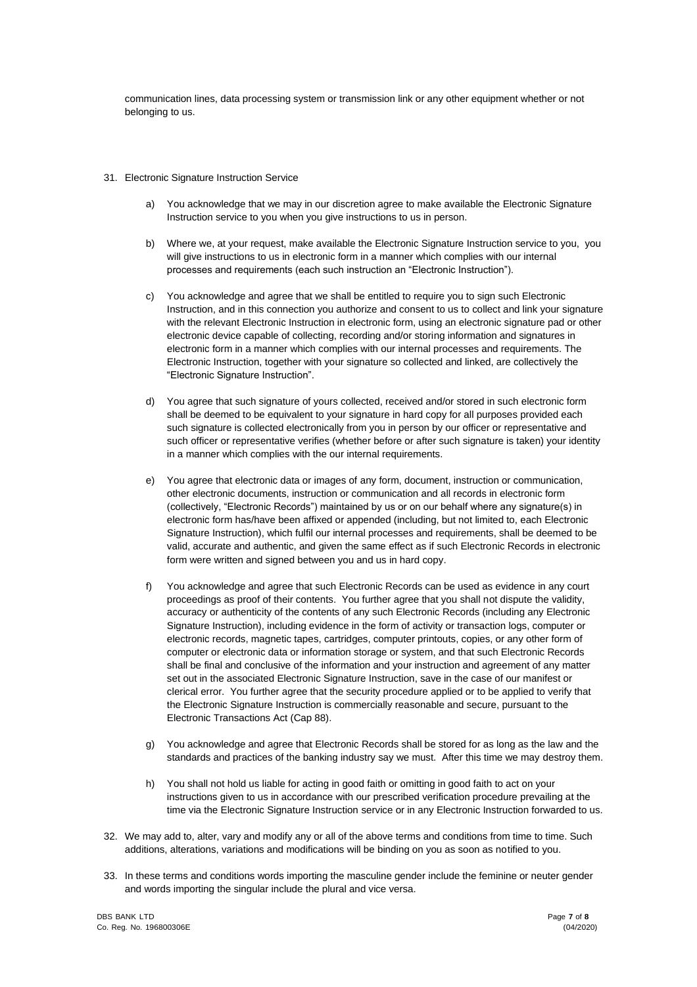communication lines, data processing system or transmission link or any other equipment whether or not belonging to us.

- 31. Electronic Signature Instruction Service
	- a) You acknowledge that we may in our discretion agree to make available the Electronic Signature Instruction service to you when you give instructions to us in person.
	- b) Where we, at your request, make available the Electronic Signature Instruction service to you, you will give instructions to us in electronic form in a manner which complies with our internal processes and requirements (each such instruction an "Electronic Instruction").
	- c) You acknowledge and agree that we shall be entitled to require you to sign such Electronic Instruction, and in this connection you authorize and consent to us to collect and link your signature with the relevant Electronic Instruction in electronic form, using an electronic signature pad or other electronic device capable of collecting, recording and/or storing information and signatures in electronic form in a manner which complies with our internal processes and requirements. The Electronic Instruction, together with your signature so collected and linked, are collectively the "Electronic Signature Instruction".
	- d) You agree that such signature of yours collected, received and/or stored in such electronic form shall be deemed to be equivalent to your signature in hard copy for all purposes provided each such signature is collected electronically from you in person by our officer or representative and such officer or representative verifies (whether before or after such signature is taken) your identity in a manner which complies with the our internal requirements.
	- e) You agree that electronic data or images of any form, document, instruction or communication, other electronic documents, instruction or communication and all records in electronic form (collectively, "Electronic Records") maintained by us or on our behalf where any signature(s) in electronic form has/have been affixed or appended (including, but not limited to, each Electronic Signature Instruction), which fulfil our internal processes and requirements, shall be deemed to be valid, accurate and authentic, and given the same effect as if such Electronic Records in electronic form were written and signed between you and us in hard copy.
	- f) You acknowledge and agree that such Electronic Records can be used as evidence in any court proceedings as proof of their contents. You further agree that you shall not dispute the validity, accuracy or authenticity of the contents of any such Electronic Records (including any Electronic Signature Instruction), including evidence in the form of activity or transaction logs, computer or electronic records, magnetic tapes, cartridges, computer printouts, copies, or any other form of computer or electronic data or information storage or system, and that such Electronic Records shall be final and conclusive of the information and your instruction and agreement of any matter set out in the associated Electronic Signature Instruction, save in the case of our manifest or clerical error. You further agree that the security procedure applied or to be applied to verify that the Electronic Signature Instruction is commercially reasonable and secure, pursuant to the Electronic Transactions Act (Cap 88).
	- g) You acknowledge and agree that Electronic Records shall be stored for as long as the law and the standards and practices of the banking industry say we must. After this time we may destroy them.
	- h) You shall not hold us liable for acting in good faith or omitting in good faith to act on your instructions given to us in accordance with our prescribed verification procedure prevailing at the time via the Electronic Signature Instruction service or in any Electronic Instruction forwarded to us.
- 32. We may add to, alter, vary and modify any or all of the above terms and conditions from time to time. Such additions, alterations, variations and modifications will be binding on you as soon as notified to you.
- 33. In these terms and conditions words importing the masculine gender include the feminine or neuter gender and words importing the singular include the plural and vice versa.